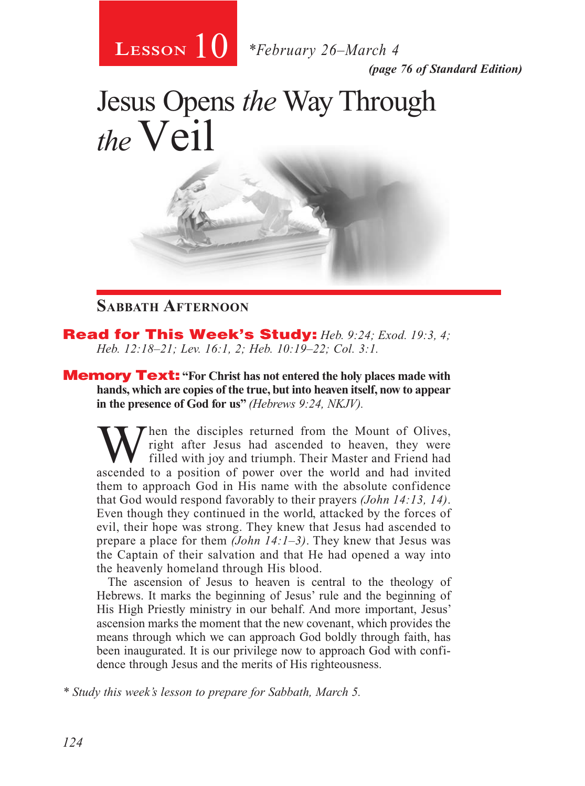

*(page 76 of Standard Edition)*

# Jesus Opens *the* Way Through the Veil

#### **Sabbath Afternoon**

Read for This Week's Study: *Heb. 9:24; Exod. 19:3, 4; Heb. 12:18–21; Lev. 16:1, 2; Heb. 10:19–22; Col. 3:1.*

**Memory Text:** "For Christ has not entered the holy places made with **hands, which are copies of the true, but into heaven itself, now to appear in the presence of God for us"** *(Hebrews 9:24, NKJV).*

hen the disciples returned from the Mount of Olives, right after Jesus had ascended to heaven, they were filled with joy and triumph. Their Master and Friend had ascended to a position of power over the world and had invited them to approach God in His name with the absolute confidence that God would respond favorably to their prayers *(John 14:13, 14)*. Even though they continued in the world, attacked by the forces of evil, their hope was strong. They knew that Jesus had ascended to prepare a place for them *(John 14:1–3)*. They knew that Jesus was the Captain of their salvation and that He had opened a way into the heavenly homeland through His blood.

The ascension of Jesus to heaven is central to the theology of Hebrews. It marks the beginning of Jesus' rule and the beginning of His High Priestly ministry in our behalf. And more important, Jesus' ascension marks the moment that the new covenant, which provides the means through which we can approach God boldly through faith, has been inaugurated. It is our privilege now to approach God with confidence through Jesus and the merits of His righteousness.

*\* Study this week's lesson to prepare for Sabbath, March 5.*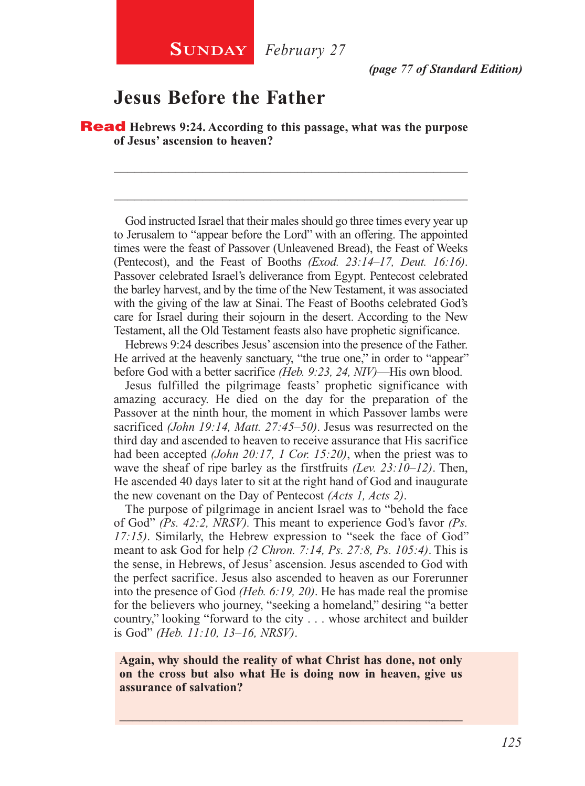*(page 77 of Standard Edition)*

#### **Jesus Before the Father**

Read **Hebrews 9:24. According to this passage, what was the purpose of Jesus' ascension to heaven?**

\_\_\_\_\_\_\_\_\_\_\_\_\_\_\_\_\_\_\_\_\_\_\_\_\_\_\_\_\_\_\_\_\_\_\_\_\_\_\_\_\_\_\_\_\_\_\_\_\_\_\_\_

\_\_\_\_\_\_\_\_\_\_\_\_\_\_\_\_\_\_\_\_\_\_\_\_\_\_\_\_\_\_\_\_\_\_\_\_\_\_\_\_\_\_\_\_\_\_\_\_\_\_\_\_

God instructed Israel that their males should go three times every year up to Jerusalem to "appear before the Lord" with an offering. The appointed times were the feast of Passover (Unleavened Bread), the Feast of Weeks (Pentecost), and the Feast of Booths *(Exod. 23:14–17, Deut. 16:16)*. Passover celebrated Israel's deliverance from Egypt. Pentecost celebrated the barley harvest, and by the time of the New Testament, it was associated with the giving of the law at Sinai. The Feast of Booths celebrated God's care for Israel during their sojourn in the desert. According to the New Testament, all the Old Testament feasts also have prophetic significance.

Hebrews 9:24 describes Jesus' ascension into the presence of the Father. He arrived at the heavenly sanctuary, "the true one," in order to "appear" before God with a better sacrifice *(Heb. 9:23, 24, NIV)*—His own blood.

Jesus fulfilled the pilgrimage feasts' prophetic significance with amazing accuracy. He died on the day for the preparation of the Passover at the ninth hour, the moment in which Passover lambs were sacrificed *(John 19:14, Matt. 27:45–50)*. Jesus was resurrected on the third day and ascended to heaven to receive assurance that His sacrifice had been accepted *(John 20:17, 1 Cor. 15:20)*, when the priest was to wave the sheaf of ripe barley as the firstfruits *(Lev. 23:10–12)*. Then, He ascended 40 days later to sit at the right hand of God and inaugurate the new covenant on the Day of Pentecost *(Acts 1, Acts 2)*.

The purpose of pilgrimage in ancient Israel was to "behold the face of God" *(Ps. 42:2, NRSV).* This meant to experience God's favor *(Ps. 17:15)*. Similarly, the Hebrew expression to "seek the face of God" meant to ask God for help *(2 Chron. 7:14, Ps. 27:8, Ps. 105:4)*. This is the sense, in Hebrews, of Jesus' ascension. Jesus ascended to God with the perfect sacrifice. Jesus also ascended to heaven as our Forerunner into the presence of God *(Heb. 6:19, 20)*. He has made real the promise for the believers who journey, "seeking a homeland," desiring "a better country," looking "forward to the city . . . whose architect and builder is God" *(Heb. 11:10, 13–16, NRSV)*.

**Again, why should the reality of what Christ has done, not only on the cross but also what He is doing now in heaven, give us assurance of salvation?**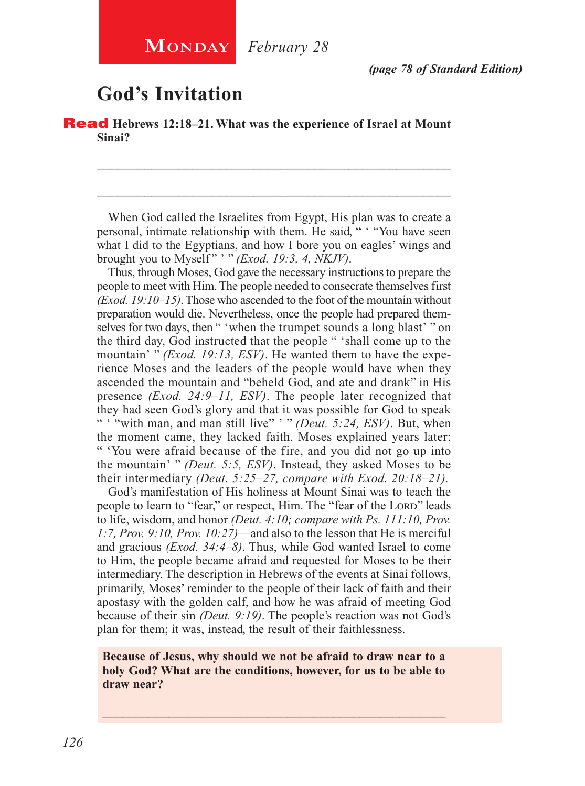## **God's Invitation**

Read **Hebrews 12:18–21. What was the experience of Israel at Mount Sinai?**

When God called the Israelites from Egypt, His plan was to create a personal, intimate relationship with them. He said, " ' "You have seen what I did to the Egyptians, and how I bore you on eagles' wings and brought you to Myself " ' " *(Exod. 19:3, 4, NKJV)*.

\_\_\_\_\_\_\_\_\_\_\_\_\_\_\_\_\_\_\_\_\_\_\_\_\_\_\_\_\_\_\_\_\_\_\_\_\_\_\_\_\_\_\_\_\_\_\_\_\_\_\_\_

\_\_\_\_\_\_\_\_\_\_\_\_\_\_\_\_\_\_\_\_\_\_\_\_\_\_\_\_\_\_\_\_\_\_\_\_\_\_\_\_\_\_\_\_\_\_\_\_\_\_\_\_

Thus, through Moses, God gave the necessary instructions to prepare the people to meet with Him. The people needed to consecrate themselves first *(Exod. 19:10–15)*. Those who ascended to the foot of the mountain without preparation would die. Nevertheless, once the people had prepared themselves for two days, then " 'when the trumpet sounds a long blast' " on the third day, God instructed that the people " 'shall come up to the mountain' " *(Exod. 19:13, ESV)*. He wanted them to have the experience Moses and the leaders of the people would have when they ascended the mountain and "beheld God, and ate and drank" in His presence *(Exod. 24:9–11, ESV)*. The people later recognized that they had seen God's glory and that it was possible for God to speak " ' "with man, and man still live" ' " *(Deut. 5:24, ESV)*. But, when the moment came, they lacked faith. Moses explained years later: " 'You were afraid because of the fire, and you did not go up into the mountain' " *(Deut. 5:5, ESV)*. Instead, they asked Moses to be their intermediary *(Deut. 5:25–27, compare with Exod. 20:18–21).*

God's manifestation of His holiness at Mount Sinai was to teach the people to learn to "fear," or respect, Him. The "fear of the LORD" leads to life, wisdom, and honor *(Deut. 4:10; compare with Ps. 111:10, Prov. 1:7, Prov. 9:10, Prov. 10:27)*—and also to the lesson that He is merciful and gracious *(Exod. 34:4–8)*. Thus, while God wanted Israel to come to Him, the people became afraid and requested for Moses to be their intermediary. The description in Hebrews of the events at Sinai follows, primarily, Moses' reminder to the people of their lack of faith and their apostasy with the golden calf, and how he was afraid of meeting God because of their sin *(Deut. 9:19)*. The people's reaction was not God's plan for them; it was, instead, the result of their faithlessness.

#### **Because of Jesus, why should we not be afraid to draw near to a holy God? What are the conditions, however, for us to be able to draw near?**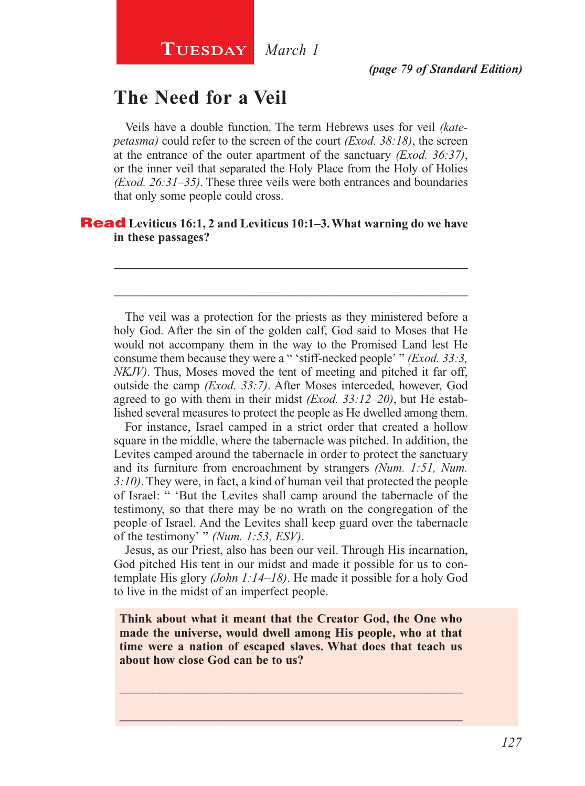## **The Need for a Veil**

Veils have a double function. The term Hebrews uses for veil *(katepetasma)* could refer to the screen of the court *(Exod. 38:18)*, the screen at the entrance of the outer apartment of the sanctuary *(Exod. 36:37)*, or the inner veil that separated the Holy Place from the Holy of Holies *(Exod. 26:31–35)*. These three veils were both entrances and boundaries that only some people could cross.

\_\_\_\_\_\_\_\_\_\_\_\_\_\_\_\_\_\_\_\_\_\_\_\_\_\_\_\_\_\_\_\_\_\_\_\_\_\_\_\_\_\_\_\_\_\_\_\_\_\_\_\_

\_\_\_\_\_\_\_\_\_\_\_\_\_\_\_\_\_\_\_\_\_\_\_\_\_\_\_\_\_\_\_\_\_\_\_\_\_\_\_\_\_\_\_\_\_\_\_\_\_\_\_\_

#### Read **Leviticus 16:1, 2 and Leviticus 10:1–3. What warning do we have in these passages?**

The veil was a protection for the priests as they ministered before a holy God. After the sin of the golden calf, God said to Moses that He would not accompany them in the way to the Promised Land lest He consume them because they were a " 'stiff-necked people' " *(Exod. 33:3, NKJV)*. Thus, Moses moved the tent of meeting and pitched it far off, outside the camp *(Exod. 33:7)*. After Moses interceded, however, God agreed to go with them in their midst *(Exod. 33:12–20)*, but He established several measures to protect the people as He dwelled among them.

For instance, Israel camped in a strict order that created a hollow square in the middle, where the tabernacle was pitched. In addition, the Levites camped around the tabernacle in order to protect the sanctuary and its furniture from encroachment by strangers *(Num. 1:51, Num. 3:10)*. They were, in fact, a kind of human veil that protected the people of Israel: " 'But the Levites shall camp around the tabernacle of the testimony, so that there may be no wrath on the congregation of the people of Israel. And the Levites shall keep guard over the tabernacle of the testimony' " *(Num. 1:53, ESV)*.

Jesus, as our Priest, also has been our veil. Through His incarnation, God pitched His tent in our midst and made it possible for us to contemplate His glory *(John 1:14–18)*. He made it possible for a holy God to live in the midst of an imperfect people.

**Think about what it meant that the Creator God, the One who made the universe, would dwell among His people, who at that time were a nation of escaped slaves. What does that teach us about how close God can be to us?**

\_\_\_\_\_\_\_\_\_\_\_\_\_\_\_\_\_\_\_\_\_\_\_\_\_\_\_\_\_\_\_\_\_\_\_\_\_\_\_\_\_\_\_\_\_\_\_\_\_\_\_\_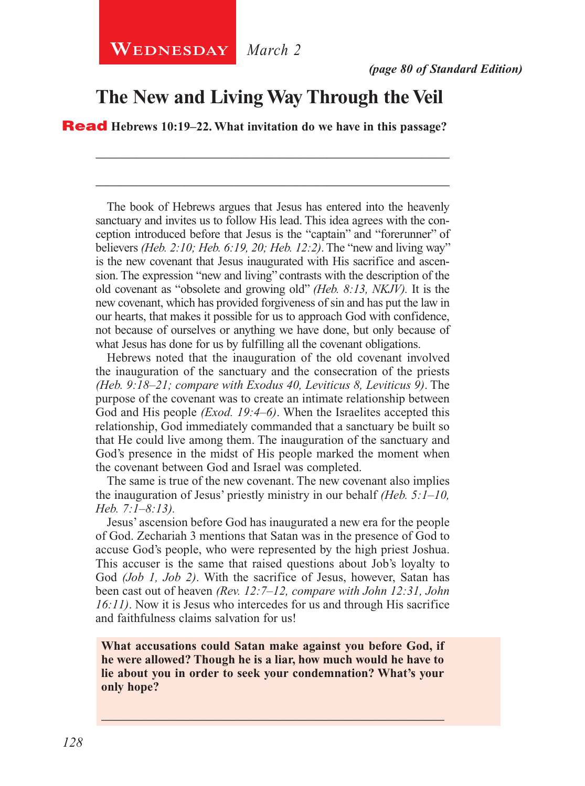#### **The New and Living Way Through the Veil**

\_\_\_\_\_\_\_\_\_\_\_\_\_\_\_\_\_\_\_\_\_\_\_\_\_\_\_\_\_\_\_\_\_\_\_\_\_\_\_\_\_\_\_\_\_\_\_\_\_\_\_\_

\_\_\_\_\_\_\_\_\_\_\_\_\_\_\_\_\_\_\_\_\_\_\_\_\_\_\_\_\_\_\_\_\_\_\_\_\_\_\_\_\_\_\_\_\_\_\_\_\_\_\_\_

Read **Hebrews 10:19–22. What invitation do we have in this passage?**

The book of Hebrews argues that Jesus has entered into the heavenly sanctuary and invites us to follow His lead. This idea agrees with the conception introduced before that Jesus is the "captain" and "forerunner" of believers *(Heb. 2:10; Heb. 6:19, 20; Heb. 12:2)*. The "new and living way" is the new covenant that Jesus inaugurated with His sacrifice and ascension. The expression "new and living" contrasts with the description of the old covenant as "obsolete and growing old" *(Heb. 8:13, NKJV).* It is the new covenant, which has provided forgiveness of sin and has put the law in our hearts, that makes it possible for us to approach God with confidence, not because of ourselves or anything we have done, but only because of what Jesus has done for us by fulfilling all the covenant obligations.

Hebrews noted that the inauguration of the old covenant involved the inauguration of the sanctuary and the consecration of the priests *(Heb. 9:18–21; compare with Exodus 40, Leviticus 8, Leviticus 9)*. The purpose of the covenant was to create an intimate relationship between God and His people *(Exod. 19:4–6)*. When the Israelites accepted this relationship, God immediately commanded that a sanctuary be built so that He could live among them. The inauguration of the sanctuary and God's presence in the midst of His people marked the moment when the covenant between God and Israel was completed.

The same is true of the new covenant. The new covenant also implies the inauguration of Jesus' priestly ministry in our behalf *(Heb. 5:1–10, Heb. 7:1–8:13).*

Jesus' ascension before God has inaugurated a new era for the people of God. Zechariah 3 mentions that Satan was in the presence of God to accuse God's people, who were represented by the high priest Joshua. This accuser is the same that raised questions about Job's loyalty to God *(Job 1, Job 2)*. With the sacrifice of Jesus, however, Satan has been cast out of heaven *(Rev. 12:7–12, compare with John 12:31, John 16:11)*. Now it is Jesus who intercedes for us and through His sacrifice and faithfulness claims salvation for us!

**What accusations could Satan make against you before God, if he were allowed? Though he is a liar, how much would he have to lie about you in order to seek your condemnation? What's your only hope?**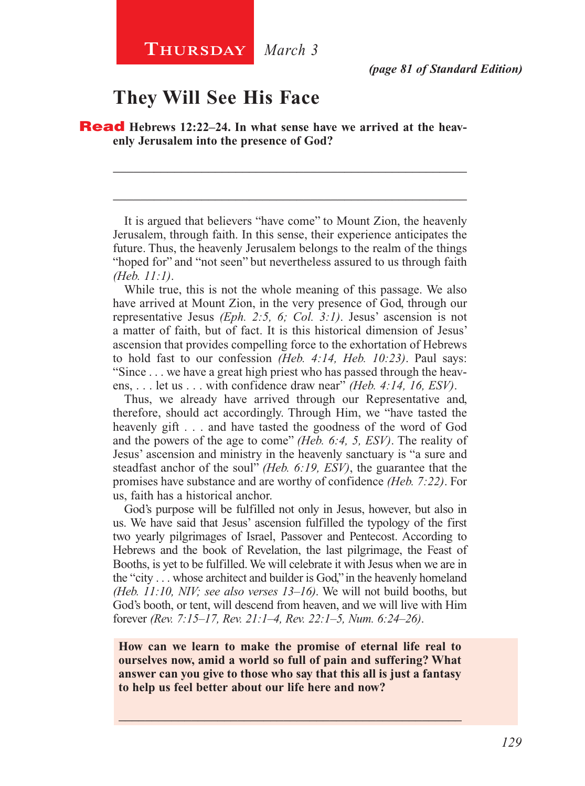#### **They Will See His Face**

**Read** Hebrews 12:22–24. In what sense have we arrived at the heav**enly Jerusalem into the presence of God?**

It is argued that believers "have come" to Mount Zion, the heavenly Jerusalem, through faith. In this sense, their experience anticipates the future. Thus, the heavenly Jerusalem belongs to the realm of the things "hoped for" and "not seen" but nevertheless assured to us through faith *(Heb. 11:1)*.

\_\_\_\_\_\_\_\_\_\_\_\_\_\_\_\_\_\_\_\_\_\_\_\_\_\_\_\_\_\_\_\_\_\_\_\_\_\_\_\_\_\_\_\_\_\_\_\_\_\_\_\_

\_\_\_\_\_\_\_\_\_\_\_\_\_\_\_\_\_\_\_\_\_\_\_\_\_\_\_\_\_\_\_\_\_\_\_\_\_\_\_\_\_\_\_\_\_\_\_\_\_\_\_\_

While true, this is not the whole meaning of this passage. We also have arrived at Mount Zion, in the very presence of God, through our representative Jesus *(Eph. 2:5, 6; Col. 3:1)*. Jesus' ascension is not a matter of faith, but of fact. It is this historical dimension of Jesus' ascension that provides compelling force to the exhortation of Hebrews to hold fast to our confession *(Heb. 4:14, Heb. 10:23)*. Paul says: "Since . . . we have a great high priest who has passed through the heavens, . . . let us . . . with confidence draw near" *(Heb. 4:14, 16, ESV)*.

Thus, we already have arrived through our Representative and, therefore, should act accordingly. Through Him, we "have tasted the heavenly gift . . . and have tasted the goodness of the word of God and the powers of the age to come" *(Heb. 6:4, 5, ESV)*. The reality of Jesus' ascension and ministry in the heavenly sanctuary is "a sure and steadfast anchor of the soul" *(Heb. 6:19, ESV)*, the guarantee that the promises have substance and are worthy of confidence *(Heb. 7:22)*. For us, faith has a historical anchor.

God's purpose will be fulfilled not only in Jesus, however, but also in us. We have said that Jesus' ascension fulfilled the typology of the first two yearly pilgrimages of Israel, Passover and Pentecost. According to Hebrews and the book of Revelation, the last pilgrimage, the Feast of Booths, is yet to be fulfilled. We will celebrate it with Jesus when we are in the "city . . . whose architect and builder is God," in the heavenly homeland *(Heb. 11:10, NIV; see also verses 13–16)*. We will not build booths, but God's booth, or tent, will descend from heaven, and we will live with Him forever *(Rev. 7:15–17, Rev. 21:1–4, Rev. 22:1–5, Num. 6:24–26)*.

**How can we learn to make the promise of eternal life real to ourselves now, amid a world so full of pain and suffering? What answer can you give to those who say that this all is just a fantasy to help us feel better about our life here and now?**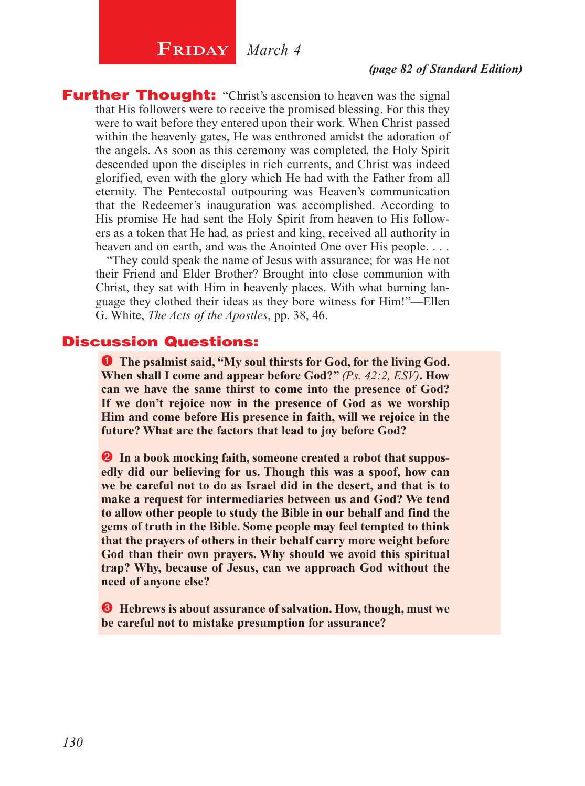## $\begin{array}{|c|c|c|}\n\hline\n\textbf{FRIDAY} & \textit{March 4}\n\end{array}$

#### *(page 82 of Standard Edition)*

**Further Thought:** "Christ's ascension to heaven was the signal that His followers were to receive the promised blessing. For this they were to wait before they entered upon their work. When Christ passed within the heavenly gates, He was enthroned amidst the adoration of the angels. As soon as this ceremony was completed, the Holy Spirit descended upon the disciples in rich currents, and Christ was indeed glorified, even with the glory which He had with the Father from all eternity. The Pentecostal outpouring was Heaven's communication that the Redeemer's inauguration was accomplished. According to His promise He had sent the Holy Spirit from heaven to His followers as a token that He had, as priest and king, received all authority in heaven and on earth, and was the Anointed One over His people. . . .

"They could speak the name of Jesus with assurance; for was He not their Friend and Elder Brother? Brought into close communion with Christ, they sat with Him in heavenly places. With what burning language they clothed their ideas as they bore witness for Him!"—Ellen G. White, *The Acts of the Apostles*, pp. 38, 46.

#### Discussion Questions:

**O** The psalmist said, "My soul thirsts for God, for the living God. **When shall I come and appear before God?"** *(Ps. 42:2, ESV)***. How can we have the same thirst to come into the presence of God? If we don't rejoice now in the presence of God as we worship Him and come before His presence in faith, will we rejoice in the future? What are the factors that lead to joy before God?**

 **In a book mocking faith, someone created a robot that supposedly did our believing for us. Though this was a spoof, how can we be careful not to do as Israel did in the desert, and that is to make a request for intermediaries between us and God? We tend to allow other people to study the Bible in our behalf and find the gems of truth in the Bible. Some people may feel tempted to think that the prayers of others in their behalf carry more weight before God than their own prayers. Why should we avoid this spiritual trap? Why, because of Jesus, can we approach God without the need of anyone else?**

 **Hebrews is about assurance of salvation. How, though, must we be careful not to mistake presumption for assurance?**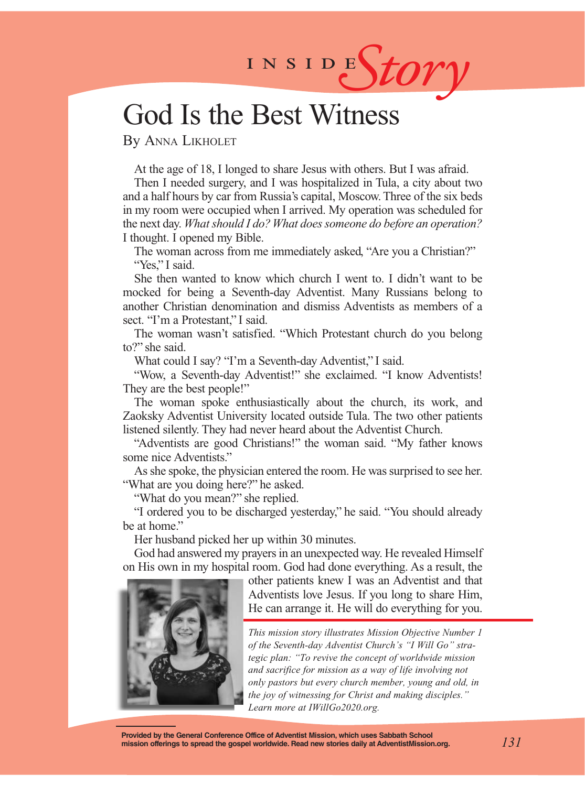# INSIDES*tory*

## God Is the Best Witness

By Anna Likholet

At the age of 18, I longed to share Jesus with others. But I was afraid.

Then I needed surgery, and I was hospitalized in Tula, a city about two and a half hours by car from Russia's capital, Moscow. Three of the six beds in my room were occupied when I arrived. My operation was scheduled for the next day. *What should I do? What does someone do before an operation?* I thought. I opened my Bible.

The woman across from me immediately asked, "Are you a Christian?" "Yes," I said.

She then wanted to know which church I went to. I didn't want to be mocked for being a Seventh-day Adventist. Many Russians belong to another Christian denomination and dismiss Adventists as members of a sect. "I'm a Protestant." I said.

The woman wasn't satisfied. "Which Protestant church do you belong to?" she said.

What could I say? "I'm a Seventh-day Adventist," I said.

"Wow, a Seventh-day Adventist!" she exclaimed. "I know Adventists! They are the best people!"

The woman spoke enthusiastically about the church, its work, and Zaoksky Adventist University located outside Tula. The two other patients listened silently. They had never heard about the Adventist Church.

"Adventists are good Christians!" the woman said. "My father knows some nice Adventists."

As she spoke, the physician entered the room. He was surprised to see her. "What are you doing here?" he asked.

"What do you mean?" she replied.

"I ordered you to be discharged yesterday," he said. "You should already be at home."

Her husband picked her up within 30 minutes.

God had answered my prayers in an unexpected way. He revealed Himself on His own in my hospital room. God had done everything. As a result, the



other patients knew I was an Adventist and that Adventists love Jesus. If you long to share Him, He can arrange it. He will do everything for you.

*This mission story illustrates Mission Objective Number 1 of the Seventh-day Adventist Church's "I Will Go" strategic plan: "To revive the concept of worldwide mission and sacrifice for mission as a way of life involving not only pastors but every church member, young and old, in the joy of witnessing for Christ and making disciples." Learn more at IWillGo2020.org.*

**Provided by the General Conference Office of Adventist Mission, which uses Sabbath School mission offerings to spread the gospel worldwide. Read new stories daily at AdventistMission.org.**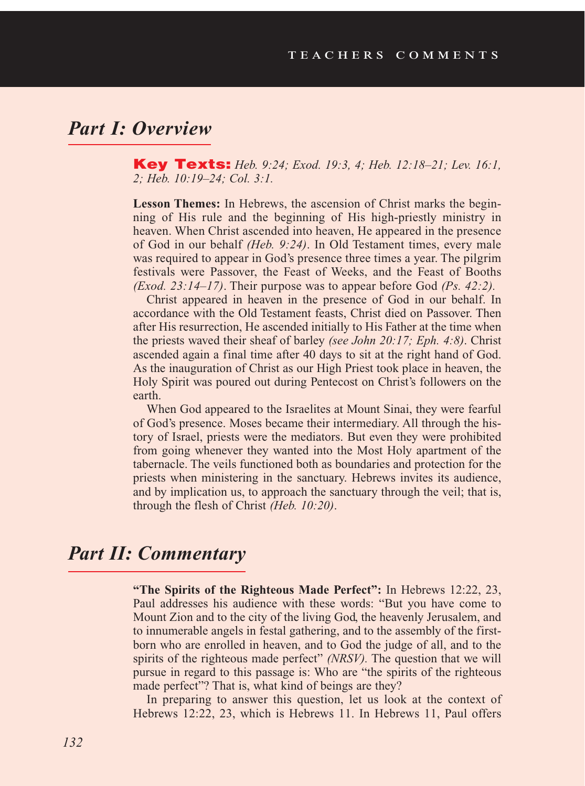#### *Part I: Overview*

Key Texts: *Heb. 9:24; Exod. 19:3, 4; Heb. 12:18–21; Lev. 16:1, 2; Heb. 10:19–24; Col. 3:1.*

**Lesson Themes:** In Hebrews, the ascension of Christ marks the beginning of His rule and the beginning of His high-priestly ministry in heaven. When Christ ascended into heaven, He appeared in the presence of God in our behalf *(Heb. 9:24)*. In Old Testament times, every male was required to appear in God's presence three times a year. The pilgrim festivals were Passover, the Feast of Weeks, and the Feast of Booths *(Exod. 23:14–17)*. Their purpose was to appear before God *(Ps. 42:2).* 

Christ appeared in heaven in the presence of God in our behalf. In accordance with the Old Testament feasts, Christ died on Passover. Then after His resurrection, He ascended initially to His Father at the time when the priests waved their sheaf of barley *(see John 20:17; Eph. 4:8)*. Christ ascended again a final time after 40 days to sit at the right hand of God. As the inauguration of Christ as our High Priest took place in heaven, the Holy Spirit was poured out during Pentecost on Christ's followers on the earth.

When God appeared to the Israelites at Mount Sinai, they were fearful of God's presence. Moses became their intermediary. All through the history of Israel, priests were the mediators. But even they were prohibited from going whenever they wanted into the Most Holy apartment of the tabernacle. The veils functioned both as boundaries and protection for the priests when ministering in the sanctuary. Hebrews invites its audience, and by implication us, to approach the sanctuary through the veil; that is, through the flesh of Christ *(Heb. 10:20)*.

#### *Part II: Commentary*

**"The Spirits of the Righteous Made Perfect":** In Hebrews 12:22, 23, Paul addresses his audience with these words: "But you have come to Mount Zion and to the city of the living God, the heavenly Jerusalem, and to innumerable angels in festal gathering, and to the assembly of the firstborn who are enrolled in heaven, and to God the judge of all, and to the spirits of the righteous made perfect" *(NRSV).* The question that we will pursue in regard to this passage is: Who are "the spirits of the righteous made perfect"? That is, what kind of beings are they?

In preparing to answer this question, let us look at the context of Hebrews 12:22, 23, which is Hebrews 11. In Hebrews 11, Paul offers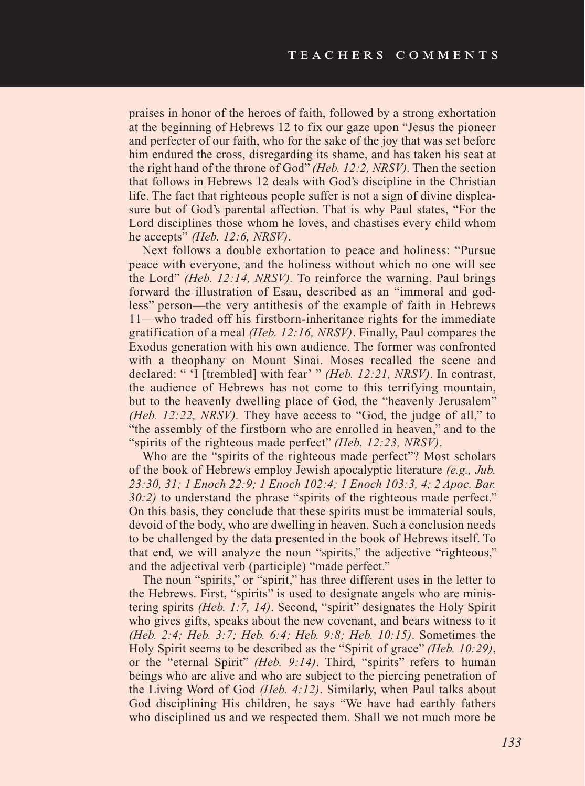praises in honor of the heroes of faith, followed by a strong exhortation at the beginning of Hebrews 12 to fix our gaze upon "Jesus the pioneer and perfecter of our faith, who for the sake of the joy that was set before him endured the cross, disregarding its shame, and has taken his seat at the right hand of the throne of God" *(Heb. 12:2, NRSV).* Then the section that follows in Hebrews 12 deals with God's discipline in the Christian life. The fact that righteous people suffer is not a sign of divine displeasure but of God's parental affection. That is why Paul states, "For the Lord disciplines those whom he loves, and chastises every child whom he accepts" *(Heb. 12:6, NRSV)*.

Next follows a double exhortation to peace and holiness: "Pursue peace with everyone, and the holiness without which no one will see the Lord" *(Heb. 12:14, NRSV).* To reinforce the warning, Paul brings forward the illustration of Esau, described as an "immoral and godless" person—the very antithesis of the example of faith in Hebrews 11—who traded off his firstborn-inheritance rights for the immediate gratification of a meal *(Heb. 12:16, NRSV)*. Finally, Paul compares the Exodus generation with his own audience. The former was confronted with a theophany on Mount Sinai. Moses recalled the scene and declared: " 'I [trembled] with fear' " *(Heb. 12:21, NRSV)*. In contrast, the audience of Hebrews has not come to this terrifying mountain, but to the heavenly dwelling place of God, the "heavenly Jerusalem" *(Heb. 12:22, NRSV).* They have access to "God, the judge of all," to "the assembly of the firstborn who are enrolled in heaven," and to the "spirits of the righteous made perfect" *(Heb. 12:23, NRSV)*.

Who are the "spirits of the righteous made perfect"? Most scholars of the book of Hebrews employ Jewish apocalyptic literature *(e.g., Jub. 23:30, 31; 1 Enoch 22:9; 1 Enoch 102:4; 1 Enoch 103:3, 4; 2 Apoc. Bar. 30:2)* to understand the phrase "spirits of the righteous made perfect." On this basis, they conclude that these spirits must be immaterial souls, devoid of the body, who are dwelling in heaven. Such a conclusion needs to be challenged by the data presented in the book of Hebrews itself. To that end, we will analyze the noun "spirits," the adjective "righteous," and the adjectival verb (participle) "made perfect."

The noun "spirits," or "spirit," has three different uses in the letter to the Hebrews. First, "spirits" is used to designate angels who are ministering spirits *(Heb. 1:7, 14)*. Second, "spirit" designates the Holy Spirit who gives gifts, speaks about the new covenant, and bears witness to it *(Heb. 2:4; Heb. 3:7; Heb. 6:4; Heb. 9:8; Heb. 10:15)*. Sometimes the Holy Spirit seems to be described as the "Spirit of grace" *(Heb. 10:29)*, or the "eternal Spirit" *(Heb. 9:14)*. Third, "spirits" refers to human beings who are alive and who are subject to the piercing penetration of the Living Word of God *(Heb. 4:12)*. Similarly, when Paul talks about God disciplining His children, he says "We have had earthly fathers who disciplined us and we respected them. Shall we not much more be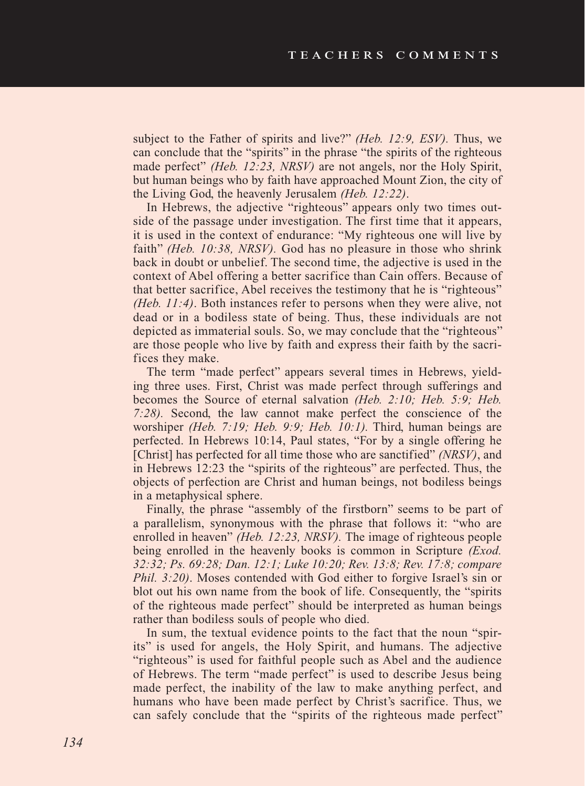subject to the Father of spirits and live?" *(Heb. 12:9, ESV).* Thus, we can conclude that the "spirits" in the phrase "the spirits of the righteous made perfect" *(Heb. 12:23, NRSV)* are not angels, nor the Holy Spirit, but human beings who by faith have approached Mount Zion, the city of the Living God, the heavenly Jerusalem *(Heb. 12:22)*.

In Hebrews, the adjective "righteous" appears only two times outside of the passage under investigation. The first time that it appears, it is used in the context of endurance: "My righteous one will live by faith" *(Heb. 10:38, NRSV).* God has no pleasure in those who shrink back in doubt or unbelief. The second time, the adjective is used in the context of Abel offering a better sacrifice than Cain offers. Because of that better sacrifice, Abel receives the testimony that he is "righteous" *(Heb. 11:4)*. Both instances refer to persons when they were alive, not dead or in a bodiless state of being. Thus, these individuals are not depicted as immaterial souls. So, we may conclude that the "righteous" are those people who live by faith and express their faith by the sacrifices they make.

The term "made perfect" appears several times in Hebrews, yielding three uses. First, Christ was made perfect through sufferings and becomes the Source of eternal salvation *(Heb. 2:10; Heb. 5:9; Heb. 7:28).* Second, the law cannot make perfect the conscience of the worshiper *(Heb. 7:19; Heb. 9:9; Heb. 10:1).* Third, human beings are perfected. In Hebrews 10:14, Paul states, "For by a single offering he [Christ] has perfected for all time those who are sanctified" *(NRSV)*, and in Hebrews 12:23 the "spirits of the righteous" are perfected. Thus, the objects of perfection are Christ and human beings, not bodiless beings in a metaphysical sphere.

Finally, the phrase "assembly of the firstborn" seems to be part of a parallelism, synonymous with the phrase that follows it: "who are enrolled in heaven" *(Heb. 12:23, NRSV).* The image of righteous people being enrolled in the heavenly books is common in Scripture *(Exod. 32:32; Ps. 69:28; Dan. 12:1; Luke 10:20; Rev. 13:8; Rev. 17:8; compare Phil. 3:20)*. Moses contended with God either to forgive Israel's sin or blot out his own name from the book of life. Consequently, the "spirits of the righteous made perfect" should be interpreted as human beings rather than bodiless souls of people who died.

In sum, the textual evidence points to the fact that the noun "spirits" is used for angels, the Holy Spirit, and humans. The adjective "righteous" is used for faithful people such as Abel and the audience of Hebrews. The term "made perfect" is used to describe Jesus being made perfect, the inability of the law to make anything perfect, and humans who have been made perfect by Christ's sacrifice. Thus, we can safely conclude that the "spirits of the righteous made perfect"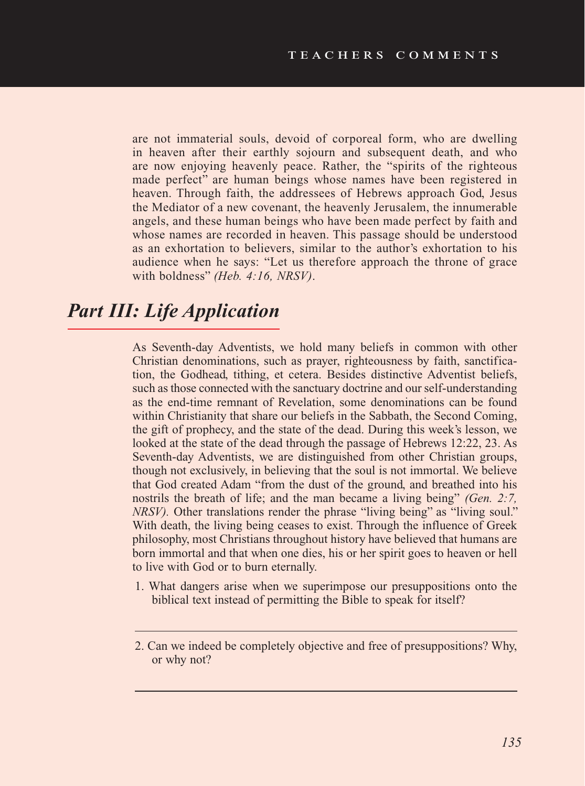are not immaterial souls, devoid of corporeal form, who are dwelling in heaven after their earthly sojourn and subsequent death, and who are now enjoying heavenly peace. Rather, the "spirits of the righteous made perfect" are human beings whose names have been registered in heaven. Through faith, the addressees of Hebrews approach God, Jesus the Mediator of a new covenant, the heavenly Jerusalem, the innumerable angels, and these human beings who have been made perfect by faith and whose names are recorded in heaven. This passage should be understood as an exhortation to believers, similar to the author's exhortation to his audience when he says: "Let us therefore approach the throne of grace with boldness" *(Heb. 4:16, NRSV)*.

## *Part III: Life Application*

As Seventh-day Adventists, we hold many beliefs in common with other Christian denominations, such as prayer, righteousness by faith, sanctification, the Godhead, tithing, et cetera. Besides distinctive Adventist beliefs, such as those connected with the sanctuary doctrine and our self-understanding as the end-time remnant of Revelation, some denominations can be found within Christianity that share our beliefs in the Sabbath, the Second Coming, the gift of prophecy, and the state of the dead. During this week's lesson, we looked at the state of the dead through the passage of Hebrews 12:22, 23. As Seventh-day Adventists, we are distinguished from other Christian groups, though not exclusively, in believing that the soul is not immortal. We believe that God created Adam "from the dust of the ground, and breathed into his nostrils the breath of life; and the man became a living being" *(Gen. 2:7, NRSV*). Other translations render the phrase "living being" as "living soul." With death, the living being ceases to exist. Through the influence of Greek philosophy, most Christians throughout history have believed that humans are born immortal and that when one dies, his or her spirit goes to heaven or hell to live with God or to burn eternally.

1. What dangers arise when we superimpose our presuppositions onto the biblical text instead of permitting the Bible to speak for itself?

<sup>2.</sup> Can we indeed be completely objective and free of presuppositions? Why, or why not?